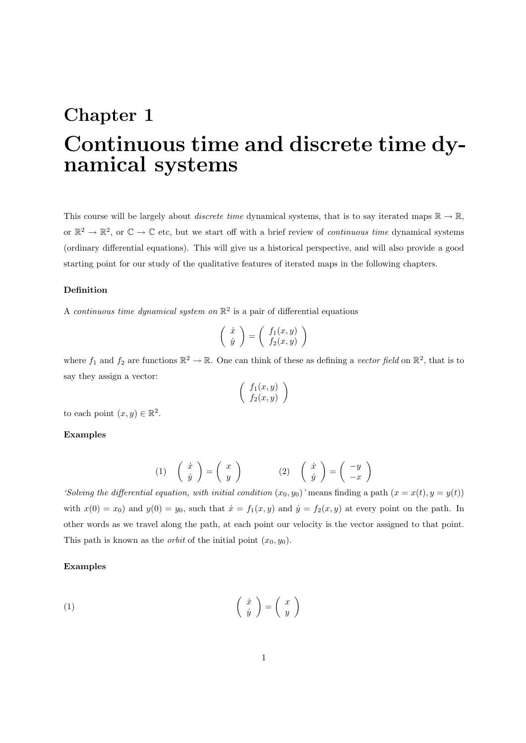# Chapter 1 Continuous time and discrete time dynamical systems

This course will be largely about *discrete time* dynamical systems, that is to say iterated maps  $\mathbb{R} \to \mathbb{R}$ , or  $\mathbb{R}^2 \to \mathbb{R}^2$ , or  $\mathbb{C} \to \mathbb{C}$  etc, but we start off with a brief review of *continuous time* dynamical systems (ordinary differential equations). This will give us a historical perspective, and will also provide a good starting point for our study of the qualitative features of iterated maps in the following chapters.

# Definition

A continuous time dynamical system on  $\mathbb{R}^2$  is a pair of differential equations

$$
\left(\begin{array}{c}\dot{x} \\ \dot{y}\end{array}\right) = \left(\begin{array}{c}f_1(x,y) \\ f_2(x,y)\end{array}\right)
$$

where  $f_1$  and  $f_2$  are functions  $\mathbb{R}^2 \to \mathbb{R}$ . One can think of these as defining a vector field on  $\mathbb{R}^2$ , that is to say they assign a vector:

$$
\left(\begin{array}{c}f_1(x,y)\\f_2(x,y)\end{array}\right)
$$

to each point  $(x, y) \in \mathbb{R}^2$ .

# Examples

$$
(1) \quad \begin{pmatrix} \dot{x} \\ \dot{y} \end{pmatrix} = \begin{pmatrix} x \\ y \end{pmatrix} \qquad (2) \quad \begin{pmatrix} \dot{x} \\ \dot{y} \end{pmatrix} = \begin{pmatrix} -y \\ -x \end{pmatrix}
$$

'Solving the differential equation, with initial condition  $(x_0, y_0)$ ' means finding a path  $(x = x(t), y = y(t))$ with  $x(0) = x_0$  and  $y(0) = y_0$ , such that  $\dot{x} = f_1(x, y)$  and  $\dot{y} = f_2(x, y)$  at every point on the path. In other words as we travel along the path, at each point our velocity is the vector assigned to that point. This path is known as the *orbit* of the initial point  $(x_0, y_0)$ .

## Examples

$$
\begin{pmatrix} \dot{x} \\ \dot{y} \end{pmatrix} = \begin{pmatrix} x \\ y \end{pmatrix}
$$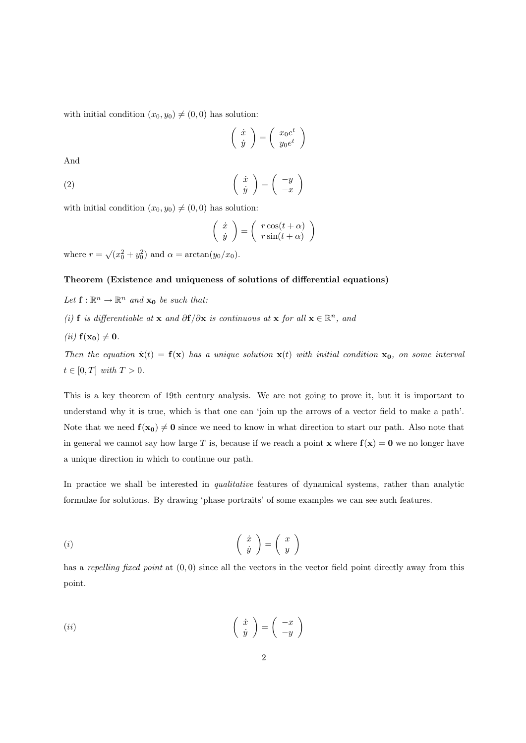with initial condition  $(x_0, y_0) \neq (0, 0)$  has solution:

$$
\left(\begin{array}{c}\n\dot{x} \\
\dot{y}\n\end{array}\right) = \left(\begin{array}{c}\nx_0 e^t \\
y_0 e^t\n\end{array}\right)
$$

And

$$
\begin{pmatrix} \dot{x} \\ \dot{y} \end{pmatrix} = \begin{pmatrix} -y \\ -x \end{pmatrix}
$$

with initial condition  $(x_0, y_0) \neq (0, 0)$  has solution:

$$
\left(\begin{array}{c}\dot{x} \\ \dot{y}\end{array}\right) = \left(\begin{array}{c}r\cos(t+\alpha) \\ r\sin(t+\alpha)\end{array}\right)
$$

where  $r = \sqrt{x_0^2 + y_0^2}$  and  $\alpha = \arctan(y_0/x_0)$ .

## Theorem (Existence and uniqueness of solutions of differential equations)

- Let  $\mathbf{f} : \mathbb{R}^n \to \mathbb{R}^n$  and  $\mathbf{x_0}$  be such that:
- (i) f is differentiable at x and  $\partial f/\partial x$  is continuous at x for all  $x \in \mathbb{R}^n$ , and
- (*ii*)  $f(x_0) \neq 0$ .

Then the equation  $\dot{\mathbf{x}}(t) = \mathbf{f}(\mathbf{x})$  has a unique solution  $\mathbf{x}(t)$  with initial condition  $\mathbf{x}_0$ , on some interval  $t \in [0, T]$  with  $T > 0$ .

This is a key theorem of 19th century analysis. We are not going to prove it, but it is important to understand why it is true, which is that one can 'join up the arrows of a vector field to make a path'. Note that we need  $f(x_0) \neq 0$  since we need to know in what direction to start our path. Also note that in general we cannot say how large T is, because if we reach a point  $\mathbf x$  where  $\mathbf f(\mathbf x) = \mathbf 0$  we no longer have a unique direction in which to continue our path.

In practice we shall be interested in *qualitative* features of dynamical systems, rather than analytic formulae for solutions. By drawing 'phase portraits' of some examples we can see such features.

$$
(i) \qquad \qquad \left(\begin{array}{c} \dot{x} \\ \dot{y} \end{array}\right) = \left(\begin{array}{c} x \\ y \end{array}\right)
$$

has a repelling fixed point at  $(0,0)$  since all the vectors in the vector field point directly away from this point.

$$
(ii) \qquad \qquad \left(\begin{array}{c} \dot{x} \\ \dot{y} \end{array}\right) = \left(\begin{array}{c} -x \\ -y \end{array}\right)
$$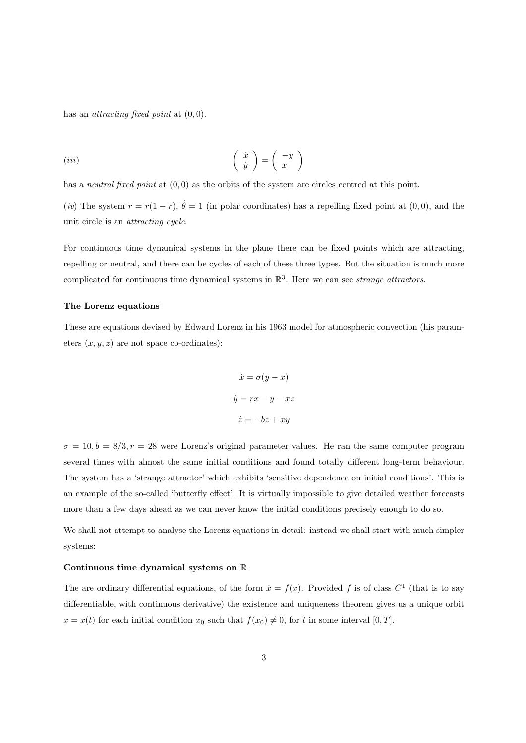has an *attracting fixed point* at  $(0, 0)$ .

$$
(iii)\qquad \qquad \left(\begin{array}{c} \dot{x} \\ \dot{y} \end{array}\right) = \left(\begin{array}{c} -y \\ x \end{array}\right)
$$

has a neutral fixed point at  $(0, 0)$  as the orbits of the system are circles centred at this point.

(iv) The system  $r = r(1 - r)$ ,  $\dot{\theta} = 1$  (in polar coordinates) has a repelling fixed point at (0,0), and the unit circle is an attracting cycle.

For continuous time dynamical systems in the plane there can be fixed points which are attracting, repelling or neutral, and there can be cycles of each of these three types. But the situation is much more complicated for continuous time dynamical systems in  $\mathbb{R}^3$ . Here we can see *strange attractors*.

## The Lorenz equations

These are equations devised by Edward Lorenz in his 1963 model for atmospheric convection (his parameters  $(x, y, z)$  are not space co-ordinates):

$$
\dot{x} = \sigma(y - x)
$$

$$
\dot{y} = rx - y - xz
$$

$$
\dot{z} = -bz + xy
$$

 $\sigma = 10, b = 8/3, r = 28$  were Lorenz's original parameter values. He ran the same computer program several times with almost the same initial conditions and found totally different long-term behaviour. The system has a 'strange attractor' which exhibits 'sensitive dependence on initial conditions'. This is an example of the so-called 'butterfly effect'. It is virtually impossible to give detailed weather forecasts more than a few days ahead as we can never know the initial conditions precisely enough to do so.

We shall not attempt to analyse the Lorenz equations in detail: instead we shall start with much simpler systems:

#### Continuous time dynamical systems on R

The are ordinary differential equations, of the form  $\dot{x} = f(x)$ . Provided f is of class  $C^1$  (that is to say differentiable, with continuous derivative) the existence and uniqueness theorem gives us a unique orbit  $x = x(t)$  for each initial condition  $x_0$  such that  $f(x_0) \neq 0$ , for t in some interval [0, T].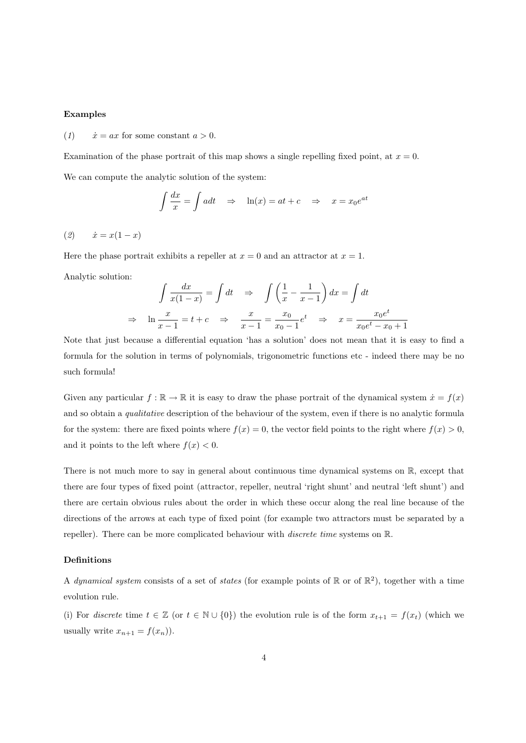# Examples

(1)  $\dot{x} = ax$  for some constant  $a > 0$ .

Examination of the phase portrait of this map shows a single repelling fixed point, at  $x = 0$ .

We can compute the analytic solution of the system:

$$
\int \frac{dx}{x} = \int a dt \quad \Rightarrow \quad \ln(x) = at + c \quad \Rightarrow \quad x = x_0 e^{at}
$$

(2)  $\dot{x} = x(1-x)$ 

Here the phase portrait exhibits a repeller at  $x = 0$  and an attractor at  $x = 1$ .

Analytic solution:

$$
\int \frac{dx}{x(1-x)} = \int dt \quad \Rightarrow \quad \int \left(\frac{1}{x} - \frac{1}{x-1}\right) dx = \int dt
$$

$$
\Rightarrow \quad \ln \frac{x}{x-1} = t + c \quad \Rightarrow \quad \frac{x}{x-1} = \frac{x_0}{x_0 - 1} e^t \quad \Rightarrow \quad x = \frac{x_0 e^t}{x_0 e^t - x_0 + 1}
$$

Note that just because a differential equation 'has a solution' does not mean that it is easy to find a formula for the solution in terms of polynomials, trigonometric functions etc - indeed there may be no such formula!

Given any particular  $f : \mathbb{R} \to \mathbb{R}$  it is easy to draw the phase portrait of the dynamical system  $\dot{x} = f(x)$ and so obtain a *qualitative* description of the behaviour of the system, even if there is no analytic formula for the system: there are fixed points where  $f(x) = 0$ , the vector field points to the right where  $f(x) > 0$ , and it points to the left where  $f(x) < 0$ .

There is not much more to say in general about continuous time dynamical systems on R, except that there are four types of fixed point (attractor, repeller, neutral 'right shunt' and neutral 'left shunt') and there are certain obvious rules about the order in which these occur along the real line because of the directions of the arrows at each type of fixed point (for example two attractors must be separated by a repeller). There can be more complicated behaviour with *discrete time* systems on  $\mathbb{R}$ .

# Definitions

A dynamical system consists of a set of states (for example points of  $\mathbb{R}$  or of  $\mathbb{R}^2$ ), together with a time evolution rule.

(i) For discrete time  $t \in \mathbb{Z}$  (or  $t \in \mathbb{N} \cup \{0\}$ ) the evolution rule is of the form  $x_{t+1} = f(x_t)$  (which we usually write  $x_{n+1} = f(x_n)$ .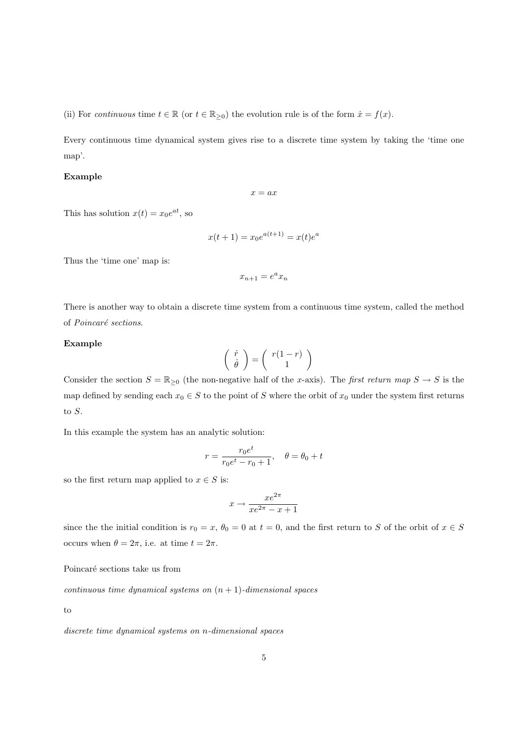(ii) For continuous time  $t \in \mathbb{R}$  (or  $t \in \mathbb{R}_{\geq 0}$ ) the evolution rule is of the form  $\dot{x} = f(x)$ .

Every continuous time dynamical system gives rise to a discrete time system by taking the 'time one map'.

## Example

$$
x=ax
$$

This has solution  $x(t) = x_0 e^{at}$ , so

$$
x(t+1) = x_0 e^{a(t+1)} = x(t)e^a
$$

Thus the 'time one' map is:

$$
x_{n+1} = e^a x_n
$$

There is another way to obtain a discrete time system from a continuous time system, called the method of Poincaré sections.

## Example

$$
\left(\begin{array}{c} \dot{r} \\ \dot{\theta} \end{array}\right) = \left(\begin{array}{c} r(1-r) \\ 1 \end{array}\right)
$$

Consider the section  $S = \mathbb{R}_{\geq 0}$  (the non-negative half of the x-axis). The first return map  $S \to S$  is the map defined by sending each  $x_0 \in S$  to the point of S where the orbit of  $x_0$  under the system first returns to S.

In this example the system has an analytic solution:

$$
r = \frac{r_0 e^t}{r_0 e^t - r_0 + 1}
$$
,  $\theta = \theta_0 + t$ 

so the first return map applied to  $x \in S$  is:

$$
x \to \frac{xe^{2\pi}}{xe^{2\pi} - x + 1}
$$

since the the initial condition is  $r_0 = x$ ,  $\theta_0 = 0$  at  $t = 0$ , and the first return to S of the orbit of  $x \in S$ occurs when  $\theta = 2\pi$ , i.e. at time  $t = 2\pi$ .

Poincaré sections take us from

continuous time dynamical systems on  $(n + 1)$ -dimensional spaces

to

discrete time dynamical systems on n-dimensional spaces